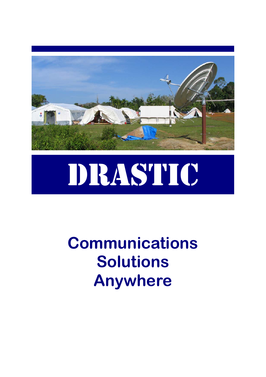

## DRASTIC

## **Communications Solutions Anywhere**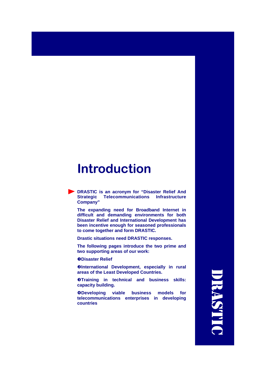#### **Introduction**

**DRASTIC is an acronym for "Disaster Relief And Strategic Telecommunications Infrastructure Company"** 

**The expanding need for Broadband Internet in difficult and demanding environments for both Disaster Relief and International Development has been incentive enough for seasoned professionals to come together and form DRASTIC.** 

**Drastic situations need DRASTIC responses.** 

**The following pages introduce the two prime and two supporting areas of our work:** 

**ODisaster Relief** 

**@International Development, especially in rural areas of the Least Developed Countries.** 

**@Training in technical and business skills: capacity building.** 

q**Developing viable business models for telecommunications enterprises in developing countries** 

DRASTIC **TRASTIC**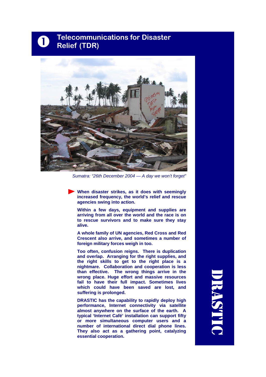## **Telecommunications for Disaster Relief (TDR)**



*Sumatra: "26th December 2004 — A day we won't forget"* 

**When disaster strikes, as it does with seemingly increased frequency, the world's relief and rescue agencies swing into action.** 

**Within a few days, equipment and supplies are arriving from all over the world and the race is on to rescue survivors and to make sure they stay alive.** 

**A whole family of UN agencies, Red Cross and Red Crescent also arrive, and sometimes a number of foreign military forces weigh in too.** 

**Too often, confusion reigns. There is duplication and overlap. Arranging for the right supplies, and the right skills to get to the right place is a nightmare. Collaboration and cooperation is less than effective. The wrong things arrive in the wrong place. Huge effort and massive resources fail to have their full impact. Sometimes lives which could have been saved are lost, and suffering is prolonged.** 

**DRASTIC has the capability to rapidly deploy high performance, Internet connectivity via satellite almost anywhere on the surface of the earth. A typical 'Internet Café' installation can support fifty or more simultaneous computer users and a number of international direct dial phone lines. They also act as a gathering point, catalyzing essential cooperation.** 

DRASTIC **RASTE**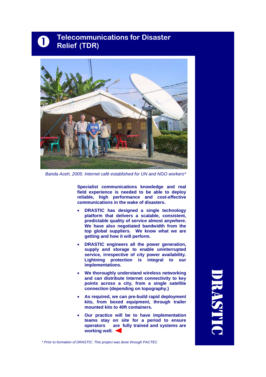## **Telecommunications for Disaster Relief (TDR)**



*Banda Aceh, 2005: Internet café established for UN and NGO workers\** 

**Specialist communications knowledge and real field experience is needed to be able to deploy reliable, high performance and cost-effective communications in the wake of disasters.** 

- **DRASTIC has designed a single technology platform that delivers a scalable, consistent, predictable quality of service almost anywhere. We have also negotiated bandwidth from the top global suppliers. We know what we are getting and how it will perform.**
- **DRASTIC engineers all the power generation, supply and storage to enable uninterrupted service, irrespective of city power availability. Lightning protection is integral to our implementations.**
- **We thoroughly understand wireless networking and can distribute Internet connectivity to key points across a city, from a single satellite connection (depending on topography.)**
- **As required, we can pre-build rapid deployment kits, from boxed equipment, through trailer mounted kits to 40ft containers.**
- **Our practice will be to have implementation teams stay on site for a period to ensure operators are fully trained and systems are working well.**

DRASTIC **RASTI** 

*\* Prior to formation of DRASTIC: This project was done through PACTEC*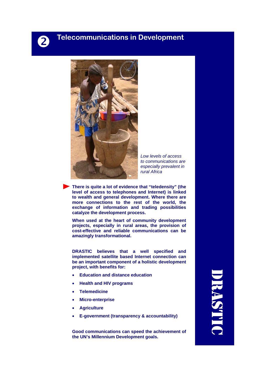#### **Paramel Enterormunications in Development**



*Low levels of access to communications are especially prevalent in rural Africa* 

**There is quite a lot of evidence that "teledensity" (the level of access to telephones and Internet) is linked to wealth and general development. Where there are more connections to the rest of the world, the exchange of information and trading possibilities catalyze the development process.** 

**When used at the heart of community development projects, especially in rural areas, the provision of cost-effective and reliable communications can be amazingly transformational.** 

**DRASTIC believes that a well specified and implemented satellite based Internet connection can be an important component of a holistic development project, with benefits for:** 

- **Education and distance education**
- **Health and HIV programs**
- **Telemedicine**
- **Micro-enterprise**
- **Agriculture**
- **E-government (transparency & accountability)**

**Good communications can speed the achievement of the UN's Millennium Development goals.** 

DRASTIC **RASTE**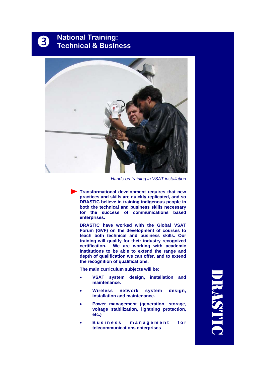## **National Training:<br>Technical & Business**



*Hands-on training in VSAT installation* 

**Transformational development requires that new practices and skills are quickly replicated, and so DRASTIC believe in training indigenous people in both the technical and business skills necessary for the success of communications based enterprises.** 

**DRASTIC have worked with the Global VSAT Forum (GVF) on the development of courses to teach both technical and business skills. Our training will qualify for their industry recognized certification. We are working with academic institutions to be able to extend the range and depth of qualification we can offer, and to extend the recognition of qualifications.** 

**The main curriculum subjects will be:** 

- **VSAT system design, installation and maintenance.**
- **Wireless network system design, installation and maintenance.**
- **Power management (generation, storage, voltage stabilization, lightning protection, etc.)**
- Business management for **telecommunications enterprises**

DRASTIC **RAST**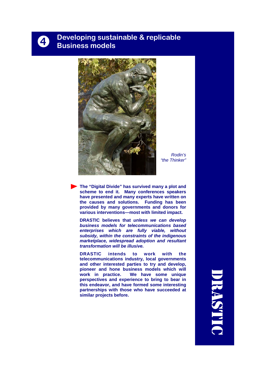## **d** Developing sustainable & replicable<br> **Q** Business models



*Rodin's "the Thinker"* 

**The "Digital Divide" has survived many a plot and scheme to end it. Many conferences speakers have presented and many experts have written on the causes and solutions. Funding has been provided by many governments and donors for various interventions—most with limited impact.** 

**DRASTIC believes that** *unless we can develop business models for telecommunications based enterprises which are fully viable, without subsidy, within the constraints of the indigenous marketplace, widespread adoption and resultant transformation will be illusive.* 

**DRASTIC intends to work with the telecommunications industry, local governments and other interested parties to try and develop, pioneer and hone business models which will work in practice. We have some unique perspectives and experience to bring to bear in this endeavor, and have formed some interesting partnerships with those who have succeeded at similar projects before.** 

DRASTIC **IRASTI**